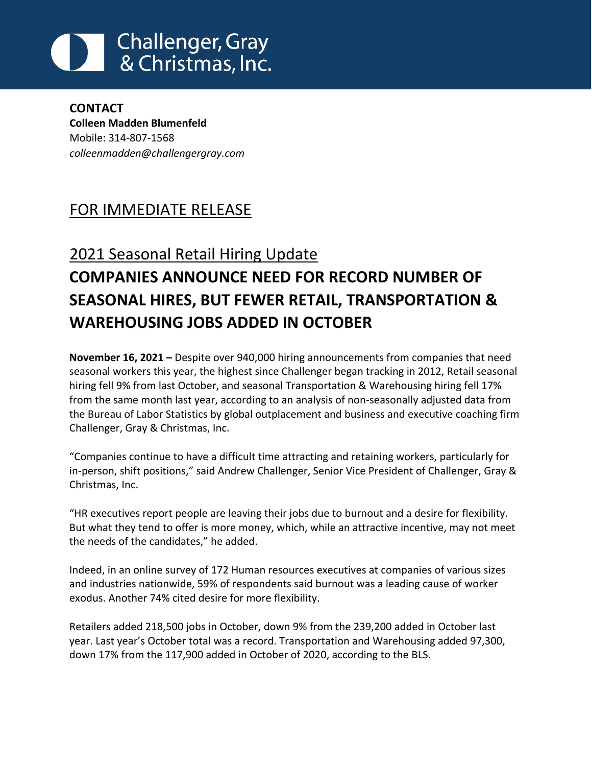## **Challenger, Gray** & Christmas, Inc.

**CONTACT Colleen Madden Blumenfeld** Mobile: 314-807-1568 *[colleenmadden@challengergray.com](mailto:colleenmadden@challengergray.com)*

## FOR IMMEDIATE RELEASE

## 2021 Seasonal Retail Hiring Update **COMPANIES ANNOUNCE NEED FOR RECORD NUMBER OF SEASONAL HIRES, BUT FEWER RETAIL, TRANSPORTATION & WAREHOUSING JOBS ADDED IN OCTOBER**

**November 16, 2021 –** Despite over 940,000 hiring announcements from companies that need seasonal workers this year, the highest since Challenger began tracking in 2012, Retail seasonal hiring fell 9% from last October, and seasonal Transportation & Warehousing hiring fell 17% from the same month last year, according to an analysis of non-seasonally adjusted data from the Bureau of Labor Statistics by global outplacement and business and executive coaching firm Challenger, Gray & Christmas, Inc.

"Companies continue to have a difficult time attracting and retaining workers, particularly for in-person, shift positions," said Andrew Challenger, Senior Vice President of Challenger, Gray & Christmas, Inc.

"HR executives report people are leaving their jobs due to burnout and a desire for flexibility. But what they tend to offer is more money, which, while an attractive incentive, may not meet the needs of the candidates," he added.

Indeed, in an online survey of 172 Human resources executives at companies of various sizes and industries nationwide, 59% of respondents said burnout was a leading cause of worker exodus. Another 74% cited desire for more flexibility.

Retailers added 218,500 jobs in October, down 9% from the 239,200 added in October last year. Last year's October total was a record. Transportation and Warehousing added 97,300, down 17% from the 117,900 added in October of 2020, according to the BLS.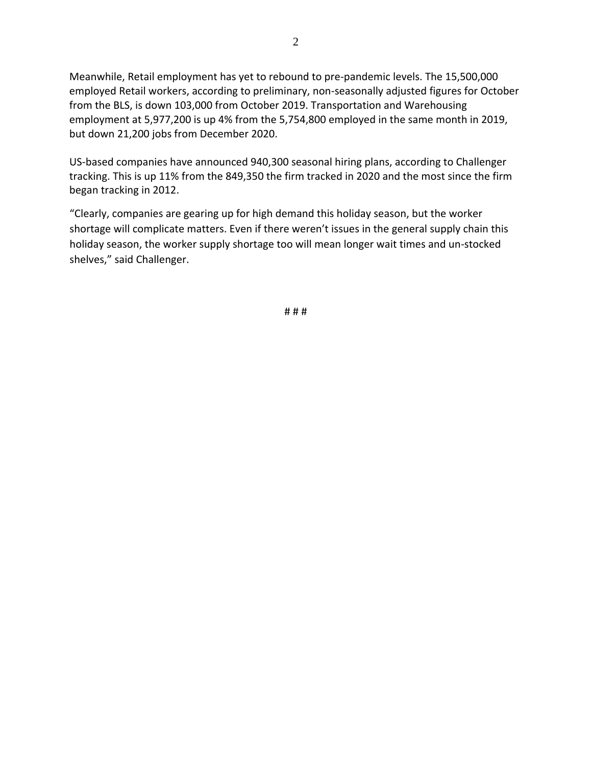Meanwhile, Retail employment has yet to rebound to pre-pandemic levels. The 15,500,000 employed Retail workers, according to preliminary, non-seasonally adjusted figures for October from the BLS, is down 103,000 from October 2019. Transportation and Warehousing employment at 5,977,200 is up 4% from the 5,754,800 employed in the same month in 2019, but down 21,200 jobs from December 2020.

US-based companies have announced 940,300 seasonal hiring plans, according to Challenger tracking. This is up 11% from the 849,350 the firm tracked in 2020 and the most since the firm began tracking in 2012.

"Clearly, companies are gearing up for high demand this holiday season, but the worker shortage will complicate matters. Even if there weren't issues in the general supply chain this holiday season, the worker supply shortage too will mean longer wait times and un-stocked shelves," said Challenger.

# # #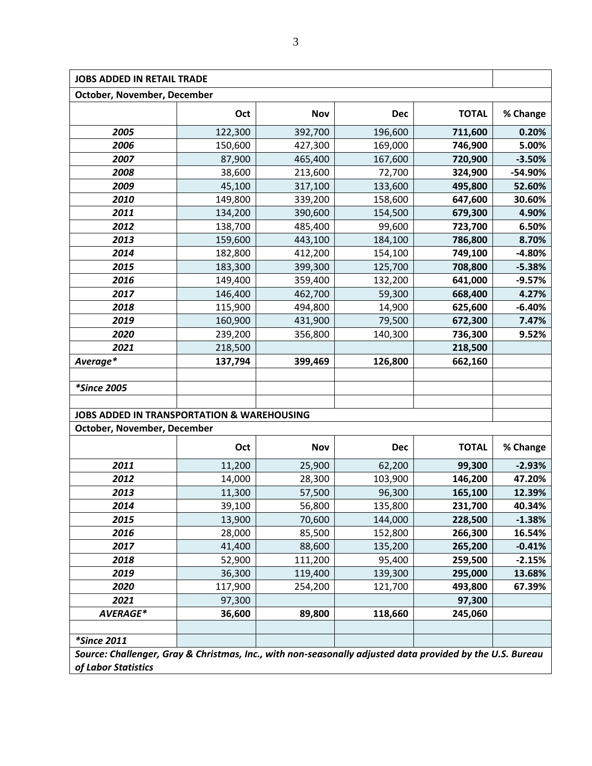| <b>JOBS ADDED IN RETAIL TRADE</b>                                                                         |         |            |            |              |          |  |  |  |  |  |  |
|-----------------------------------------------------------------------------------------------------------|---------|------------|------------|--------------|----------|--|--|--|--|--|--|
| October, November, December                                                                               |         |            |            |              |          |  |  |  |  |  |  |
|                                                                                                           | Oct     | <b>Nov</b> | <b>Dec</b> | <b>TOTAL</b> | % Change |  |  |  |  |  |  |
| 2005                                                                                                      | 122,300 | 392,700    | 196,600    | 711,600      | 0.20%    |  |  |  |  |  |  |
| 2006                                                                                                      | 150,600 | 427,300    | 169,000    | 746,900      | 5.00%    |  |  |  |  |  |  |
| 2007                                                                                                      | 87,900  | 465,400    | 167,600    | 720,900      | $-3.50%$ |  |  |  |  |  |  |
| 2008                                                                                                      | 38,600  | 213,600    | 72,700     | 324,900      | -54.90%  |  |  |  |  |  |  |
| 2009                                                                                                      | 45,100  | 317,100    | 133,600    | 495,800      | 52.60%   |  |  |  |  |  |  |
| 2010                                                                                                      | 149,800 | 339,200    | 158,600    | 647,600      | 30.60%   |  |  |  |  |  |  |
| 2011                                                                                                      | 134,200 | 390,600    | 154,500    | 679,300      | 4.90%    |  |  |  |  |  |  |
| 2012                                                                                                      | 138,700 | 485,400    | 99,600     | 723,700      | 6.50%    |  |  |  |  |  |  |
| 2013                                                                                                      | 159,600 | 443,100    | 184,100    | 786,800      | 8.70%    |  |  |  |  |  |  |
| 2014                                                                                                      | 182,800 | 412,200    | 154,100    | 749,100      | $-4.80%$ |  |  |  |  |  |  |
| 2015                                                                                                      | 183,300 | 399,300    | 125,700    | 708,800      | $-5.38%$ |  |  |  |  |  |  |
| 2016                                                                                                      | 149,400 | 359,400    | 132,200    | 641,000      | $-9.57%$ |  |  |  |  |  |  |
| 2017                                                                                                      | 146,400 | 462,700    | 59,300     | 668,400      | 4.27%    |  |  |  |  |  |  |
| 2018                                                                                                      | 115,900 | 494,800    | 14,900     | 625,600      | $-6.40%$ |  |  |  |  |  |  |
| 2019                                                                                                      | 160,900 | 431,900    | 79,500     | 672,300      | 7.47%    |  |  |  |  |  |  |
| 2020                                                                                                      | 239,200 | 356,800    | 140,300    | 736,300      | 9.52%    |  |  |  |  |  |  |
| 2021                                                                                                      | 218,500 |            |            | 218,500      |          |  |  |  |  |  |  |
| Average*                                                                                                  | 137,794 | 399,469    | 126,800    | 662,160      |          |  |  |  |  |  |  |
|                                                                                                           |         |            |            |              |          |  |  |  |  |  |  |
| <i>*Since 2005</i>                                                                                        |         |            |            |              |          |  |  |  |  |  |  |
|                                                                                                           |         |            |            |              |          |  |  |  |  |  |  |
| <b>JOBS ADDED IN TRANSPORTATION &amp; WAREHOUSING</b>                                                     |         |            |            |              |          |  |  |  |  |  |  |
| October, November, December                                                                               |         |            |            |              |          |  |  |  |  |  |  |
|                                                                                                           | Oct     | <b>Nov</b> | <b>Dec</b> | <b>TOTAL</b> | % Change |  |  |  |  |  |  |
| 2011                                                                                                      | 11,200  | 25,900     | 62,200     | 99,300       | $-2.93%$ |  |  |  |  |  |  |
| 2012                                                                                                      | 14,000  | 28,300     | 103,900    | 146,200      | 47.20%   |  |  |  |  |  |  |
| 2013                                                                                                      | 11,300  | 57,500     | 96,300     | 165,100      | 12.39%   |  |  |  |  |  |  |
| 2014                                                                                                      | 39,100  | 56,800     | 135,800    | 231,700      | 40.34%   |  |  |  |  |  |  |
| 2015                                                                                                      | 13,900  | 70,600     | 144,000    | 228,500      | $-1.38%$ |  |  |  |  |  |  |
| 2016                                                                                                      | 28,000  | 85,500     | 152,800    | 266,300      | 16.54%   |  |  |  |  |  |  |
| 2017                                                                                                      | 41,400  | 88,600     | 135,200    | 265,200      | $-0.41%$ |  |  |  |  |  |  |
| 2018                                                                                                      | 52,900  | 111,200    | 95,400     | 259,500      | $-2.15%$ |  |  |  |  |  |  |
| 2019                                                                                                      | 36,300  | 119,400    | 139,300    | 295,000      | 13.68%   |  |  |  |  |  |  |
| 2020                                                                                                      | 117,900 | 254,200    | 121,700    | 493,800      | 67.39%   |  |  |  |  |  |  |
| 2021                                                                                                      | 97,300  |            |            | 97,300       |          |  |  |  |  |  |  |
| AVERAGE*                                                                                                  | 36,600  | 89,800     | 118,660    | 245,060      |          |  |  |  |  |  |  |
|                                                                                                           |         |            |            |              |          |  |  |  |  |  |  |
| <i>*Since 2011</i>                                                                                        |         |            |            |              |          |  |  |  |  |  |  |
| Source: Challenger, Gray & Christmas, Inc., with non-seasonally adjusted data provided by the U.S. Bureau |         |            |            |              |          |  |  |  |  |  |  |
| of Labor Statistics                                                                                       |         |            |            |              |          |  |  |  |  |  |  |